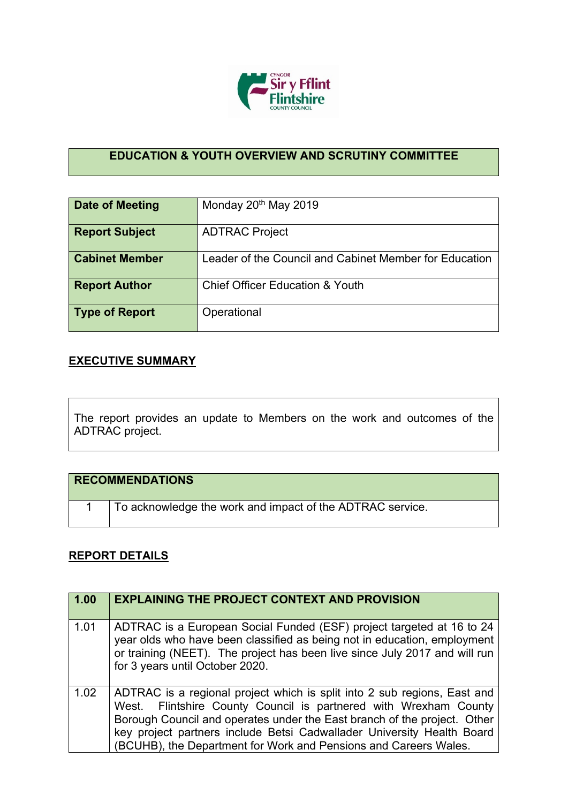

## **EDUCATION & YOUTH OVERVIEW AND SCRUTINY COMMITTEE**

| Date of Meeting       | Monday 20 <sup>th</sup> May 2019                       |
|-----------------------|--------------------------------------------------------|
| <b>Report Subject</b> | <b>ADTRAC Project</b>                                  |
| <b>Cabinet Member</b> | Leader of the Council and Cabinet Member for Education |
| <b>Report Author</b>  | <b>Chief Officer Education &amp; Youth</b>             |
| <b>Type of Report</b> | Operational                                            |

## **EXECUTIVE SUMMARY**

The report provides an update to Members on the work and outcomes of the ADTRAC project.

| <b>RECOMMENDATIONS</b> |                                                           |
|------------------------|-----------------------------------------------------------|
|                        | To acknowledge the work and impact of the ADTRAC service. |

## **REPORT DETAILS**

| 1.00 | <b>EXPLAINING THE PROJECT CONTEXT AND PROVISION</b>                                                                                                                                                                                                                                                                                                                    |
|------|------------------------------------------------------------------------------------------------------------------------------------------------------------------------------------------------------------------------------------------------------------------------------------------------------------------------------------------------------------------------|
| 1.01 | ADTRAC is a European Social Funded (ESF) project targeted at 16 to 24<br>year olds who have been classified as being not in education, employment<br>or training (NEET). The project has been live since July 2017 and will run<br>for 3 years until October 2020.                                                                                                     |
| 1.02 | ADTRAC is a regional project which is split into 2 sub regions, East and<br>West. Flintshire County Council is partnered with Wrexham County<br>Borough Council and operates under the East branch of the project. Other<br>key project partners include Betsi Cadwallader University Health Board<br>(BCUHB), the Department for Work and Pensions and Careers Wales. |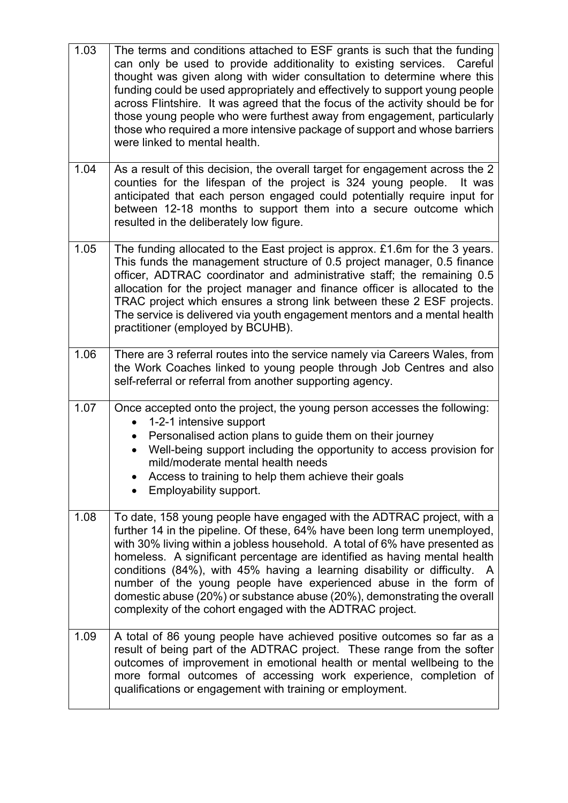| 1.03 | The terms and conditions attached to ESF grants is such that the funding<br>can only be used to provide additionality to existing services. Careful<br>thought was given along with wider consultation to determine where this<br>funding could be used appropriately and effectively to support young people<br>across Flintshire. It was agreed that the focus of the activity should be for<br>those young people who were furthest away from engagement, particularly<br>those who required a more intensive package of support and whose barriers<br>were linked to mental health.                  |
|------|----------------------------------------------------------------------------------------------------------------------------------------------------------------------------------------------------------------------------------------------------------------------------------------------------------------------------------------------------------------------------------------------------------------------------------------------------------------------------------------------------------------------------------------------------------------------------------------------------------|
| 1.04 | As a result of this decision, the overall target for engagement across the 2<br>counties for the lifespan of the project is 324 young people.<br>It was<br>anticipated that each person engaged could potentially require input for<br>between 12-18 months to support them into a secure outcome which<br>resulted in the deliberately low figure.                                                                                                                                                                                                                                                      |
| 1.05 | The funding allocated to the East project is approx. £1.6m for the 3 years.<br>This funds the management structure of 0.5 project manager, 0.5 finance<br>officer, ADTRAC coordinator and administrative staff; the remaining 0.5<br>allocation for the project manager and finance officer is allocated to the<br>TRAC project which ensures a strong link between these 2 ESF projects.<br>The service is delivered via youth engagement mentors and a mental health<br>practitioner (employed by BCUHB).                                                                                              |
| 1.06 | There are 3 referral routes into the service namely via Careers Wales, from<br>the Work Coaches linked to young people through Job Centres and also<br>self-referral or referral from another supporting agency.                                                                                                                                                                                                                                                                                                                                                                                         |
| 1.07 | Once accepted onto the project, the young person accesses the following:<br>1-2-1 intensive support<br>$\bullet$<br>Personalised action plans to guide them on their journey<br>$\bullet$<br>Well-being support including the opportunity to access provision for<br>mild/moderate mental health needs<br>Access to training to help them achieve their goals<br>Employability support.                                                                                                                                                                                                                  |
| 1.08 | To date, 158 young people have engaged with the ADTRAC project, with a<br>further 14 in the pipeline. Of these, 64% have been long term unemployed,<br>with 30% living within a jobless household. A total of 6% have presented as<br>homeless. A significant percentage are identified as having mental health<br>conditions (84%), with 45% having a learning disability or difficulty. A<br>number of the young people have experienced abuse in the form of<br>domestic abuse (20%) or substance abuse (20%), demonstrating the overall<br>complexity of the cohort engaged with the ADTRAC project. |
| 1.09 | A total of 86 young people have achieved positive outcomes so far as a<br>result of being part of the ADTRAC project. These range from the softer<br>outcomes of improvement in emotional health or mental wellbeing to the<br>more formal outcomes of accessing work experience, completion of<br>qualifications or engagement with training or employment.                                                                                                                                                                                                                                             |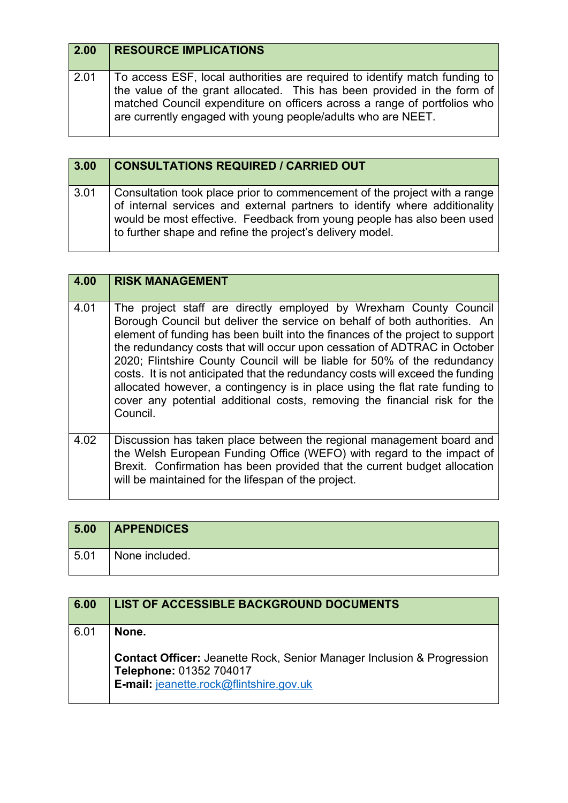| 2.00 | <b>RESOURCE IMPLICATIONS</b>                                                                                                                                                                                                                                                                      |
|------|---------------------------------------------------------------------------------------------------------------------------------------------------------------------------------------------------------------------------------------------------------------------------------------------------|
| 2.01 | To access ESF, local authorities are required to identify match funding to<br>the value of the grant allocated. This has been provided in the form of<br>matched Council expenditure on officers across a range of portfolios who<br>are currently engaged with young people/adults who are NEET. |

| 3.00 | <b>CONSULTATIONS REQUIRED / CARRIED OUT</b>                                                                                                                                                                                                                                                    |
|------|------------------------------------------------------------------------------------------------------------------------------------------------------------------------------------------------------------------------------------------------------------------------------------------------|
| 3.01 | Consultation took place prior to commencement of the project with a range<br>of internal services and external partners to identify where additionality<br>would be most effective. Feedback from young people has also been used<br>to further shape and refine the project's delivery model. |

| 4.00 | <b>RISK MANAGEMENT</b>                                                                                                                                                                                                                                                                                                                                                                                                                                                                                                                                                                                                                            |
|------|---------------------------------------------------------------------------------------------------------------------------------------------------------------------------------------------------------------------------------------------------------------------------------------------------------------------------------------------------------------------------------------------------------------------------------------------------------------------------------------------------------------------------------------------------------------------------------------------------------------------------------------------------|
| 4.01 | The project staff are directly employed by Wrexham County Council<br>Borough Council but deliver the service on behalf of both authorities. An<br>element of funding has been built into the finances of the project to support<br>the redundancy costs that will occur upon cessation of ADTRAC in October<br>2020; Flintshire County Council will be liable for 50% of the redundancy<br>costs. It is not anticipated that the redundancy costs will exceed the funding<br>allocated however, a contingency is in place using the flat rate funding to<br>cover any potential additional costs, removing the financial risk for the<br>Council. |
| 4.02 | Discussion has taken place between the regional management board and<br>the Welsh European Funding Office (WEFO) with regard to the impact of<br>Brexit. Confirmation has been provided that the current budget allocation<br>will be maintained for the lifespan of the project.                                                                                                                                                                                                                                                                                                                                                                 |

| 5.00 | <b>APPENDICES</b> |
|------|-------------------|
| 5.01 | None included.    |

| 6.00 | <b>LIST OF ACCESSIBLE BACKGROUND DOCUMENTS</b>                                                                                                          |
|------|---------------------------------------------------------------------------------------------------------------------------------------------------------|
| 6.01 | None.                                                                                                                                                   |
|      | <b>Contact Officer: Jeanette Rock, Senior Manager Inclusion &amp; Progression</b><br>Telephone: 01352 704017<br>E-mail: jeanette.rock@flintshire.gov.uk |
|      |                                                                                                                                                         |